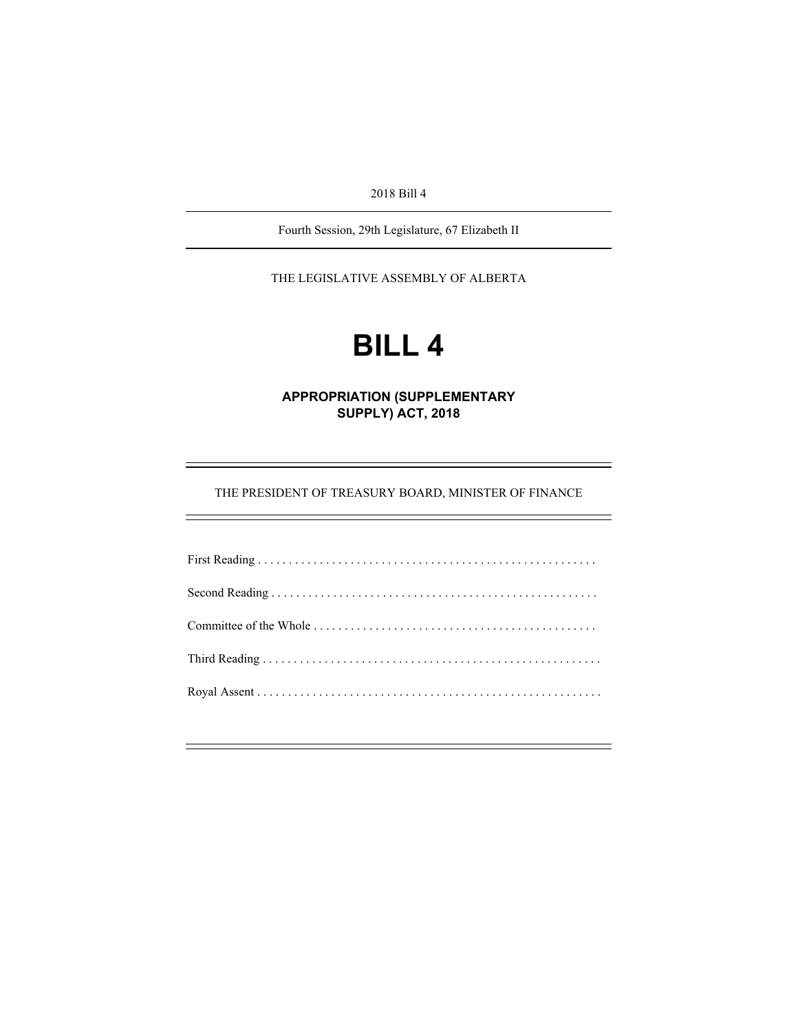2018 Bill 4

Fourth Session, 29th Legislature, 67 Elizabeth II

THE LEGISLATIVE ASSEMBLY OF ALBERTA

# **BILL 4**

**APPROPRIATION (SUPPLEMENTARY SUPPLY) ACT, 2018** 

THE PRESIDENT OF TREASURY BOARD, MINISTER OF FINANCE

e<br>S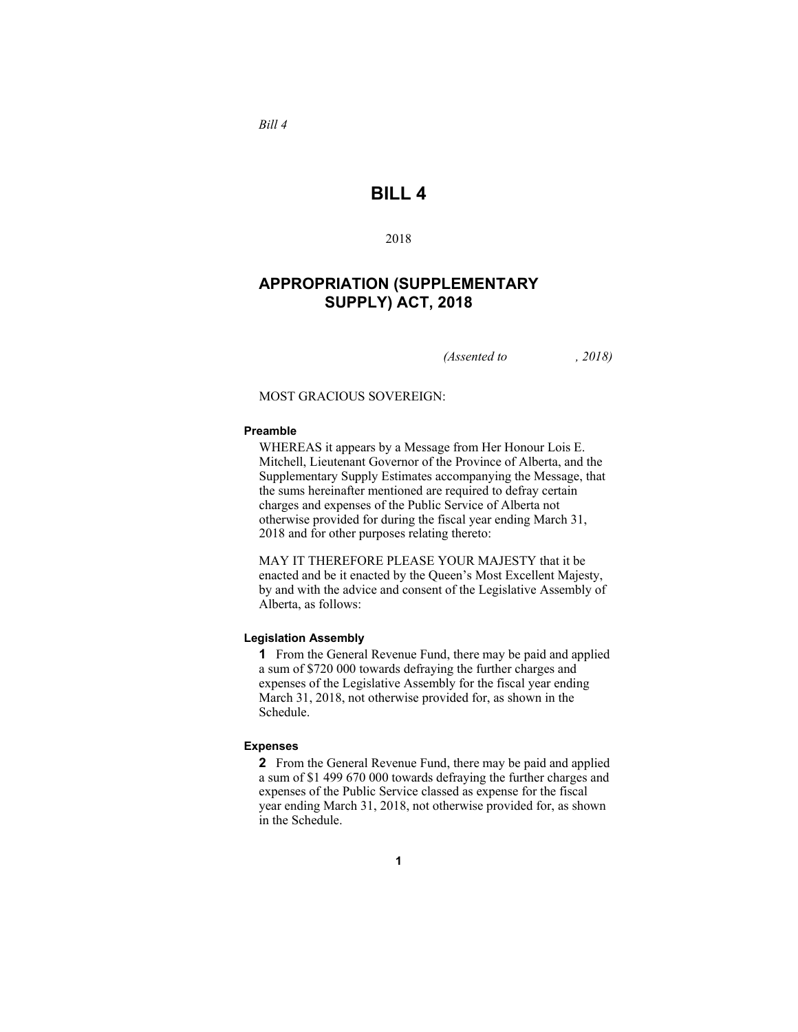# **BILL 4**

2018

## **APPROPRIATION (SUPPLEMENTARY SUPPLY) ACT, 2018**

*(Assented to , 2018)* 

MOST GRACIOUS SOVEREIGN:

## **Preamble**

*Bill 4* 

WHEREAS it appears by a Message from Her Honour Lois E. Mitchell, Lieutenant Governor of the Province of Alberta, and the Supplementary Supply Estimates accompanying the Message, that the sums hereinafter mentioned are required to defray certain charges and expenses of the Public Service of Alberta not otherwise provided for during the fiscal year ending March 31, 2018 and for other purposes relating thereto:

MAY IT THEREFORE PLEASE YOUR MAJESTY that it be enacted and be it enacted by the Queen's Most Excellent Majesty, by and with the advice and consent of the Legislative Assembly of Alberta, as follows:

## **Legislation Assembly**

**1** From the General Revenue Fund, there may be paid and applied a sum of \$720 000 towards defraying the further charges and expenses of the Legislative Assembly for the fiscal year ending March 31, 2018, not otherwise provided for, as shown in the Schedule.

#### **Expenses**

**2** From the General Revenue Fund, there may be paid and applied a sum of \$1 499 670 000 towards defraying the further charges and expenses of the Public Service classed as expense for the fiscal year ending March 31, 2018, not otherwise provided for, as shown in the Schedule.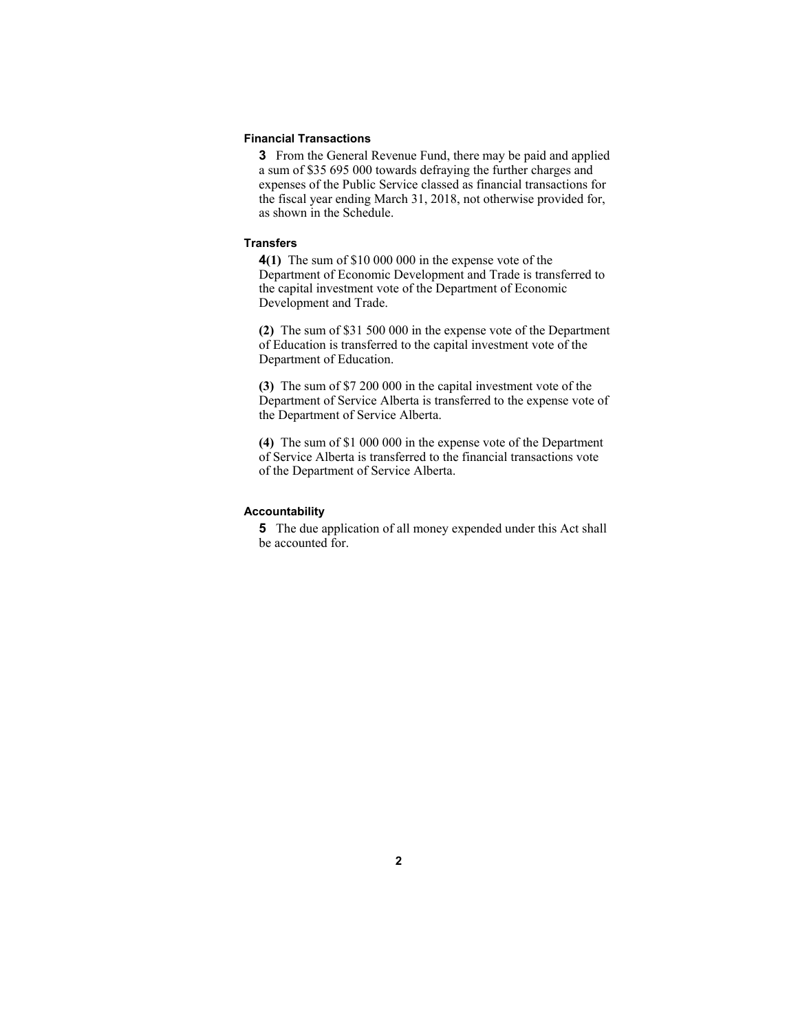#### **Financial Transactions**

**3** From the General Revenue Fund, there may be paid and applied a sum of \$35 695 000 towards defraying the further charges and expenses of the Public Service classed as financial transactions for the fiscal year ending March 31, 2018, not otherwise provided for, as shown in the Schedule.

## **Transfers**

**4(1)** The sum of \$10 000 000 in the expense vote of the Department of Economic Development and Trade is transferred to the capital investment vote of the Department of Economic Development and Trade.

**(2)** The sum of \$31 500 000 in the expense vote of the Department of Education is transferred to the capital investment vote of the Department of Education.

**(3)** The sum of \$7 200 000 in the capital investment vote of the Department of Service Alberta is transferred to the expense vote of the Department of Service Alberta.

**(4)** The sum of \$1 000 000 in the expense vote of the Department of Service Alberta is transferred to the financial transactions vote of the Department of Service Alberta.

#### **Accountability**

**5** The due application of all money expended under this Act shall be accounted for.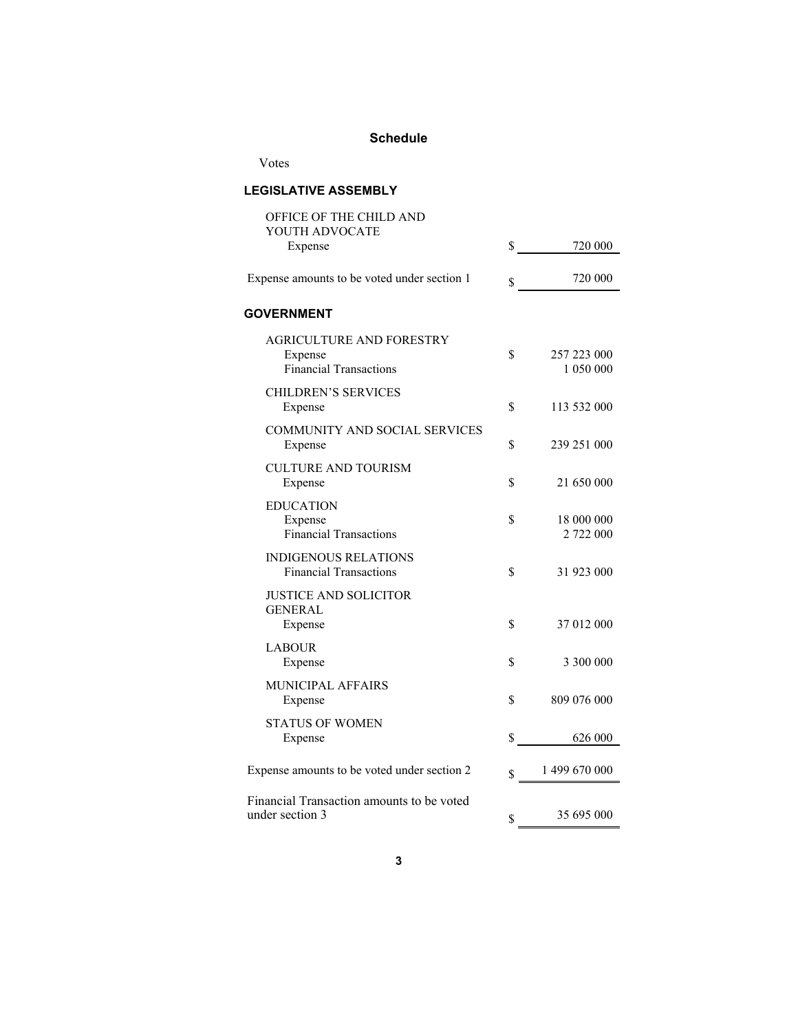## **Schedule**

Votes

# **LEGISLATIVE ASSEMBLY**

| OFFICE OF THE CHILD AND<br>YOUTH ADVOCATE                            |                                |
|----------------------------------------------------------------------|--------------------------------|
| Expense                                                              | \$<br>720 000                  |
| Expense amounts to be voted under section 1                          | \$<br>720 000                  |
| <b>GOVERNMENT</b>                                                    |                                |
| AGRICULTURE AND FORESTRY<br>Expense<br><b>Financial Transactions</b> | \$<br>257 223 000<br>1 050 000 |
| <b>CHILDREN'S SERVICES</b><br>Expense                                | \$<br>113 532 000              |
| <b>COMMUNITY AND SOCIAL SERVICES</b><br>Expense                      | \$<br>239 251 000              |
| <b>CULTURE AND TOURISM</b><br>Expense                                | \$<br>21 650 000               |
| <b>EDUCATION</b><br>Expense<br><b>Financial Transactions</b>         | \$<br>18 000 000<br>2 722 000  |
| <b>INDIGENOUS RELATIONS</b><br><b>Financial Transactions</b>         | \$<br>31 923 000               |
| <b>JUSTICE AND SOLICITOR</b><br><b>GENERAL</b><br>Expense            | \$<br>37 012 000               |
| <b>LABOUR</b><br>Expense                                             | \$<br>3 300 000                |
| MUNICIPAL AFFAIRS<br>Expense                                         | \$<br>809 076 000              |
| <b>STATUS OF WOMEN</b><br>Expense                                    | \$<br>626 000                  |
| Expense amounts to be voted under section 2                          | \$<br>1499670000               |
| Financial Transaction amounts to be voted<br>under section 3         | \$<br>35 695 000               |